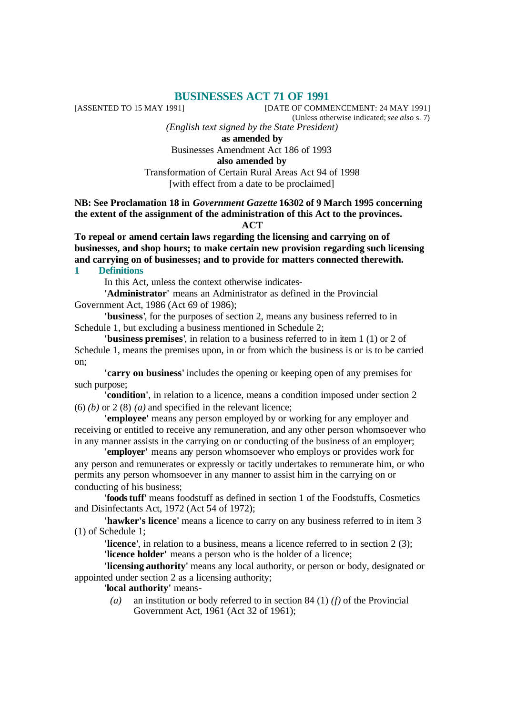# **BUSINESSES ACT 71 OF 1991**<br>[DATE OF COMM]

[DATE OF COMMENCEMENT: 24 MAY 1991] (Unless otherwise indicated; *see also* s. 7)

*(English text signed by the State President)*

**as amended by**

Businesses Amendment Act 186 of 1993

**also amended by**

Transformation of Certain Rural Areas Act 94 of 1998 [with effect from a date to be proclaimed]

#### **NB: See Proclamation 18 in** *Government Gazette* **16302 of 9 March 1995 concerning the extent of the assignment of the administration of this Act to the provinces. ACT**

**To repeal or amend certain laws regarding the licensing and carrying on of businesses, and shop hours; to make certain new provision regarding such licensing and carrying on of businesses; and to provide for matters connected therewith.**

## **1 Definitions**

In this Act, unless the context otherwise indicates-

**'Administrator'** means an Administrator as defined in the Provincial Government Act, 1986 (Act 69 of 1986);

**'business'**, for the purposes of section 2, means any business referred to in Schedule 1, but excluding a business mentioned in Schedule 2;

**'business premises'**, in relation to a business referred to in item 1 (1) or 2 of Schedule 1, means the premises upon, in or from which the business is or is to be carried on;

**'carry on business'** includes the opening or keeping open of any premises for such purpose;

**'condition'**, in relation to a licence, means a condition imposed under section 2  $(6)$  *(b)* or 2 (8) *(a)* and specified in the relevant licence;

**'employee'** means any person employed by or working for any employer and receiving or entitled to receive any remuneration, and any other person whomsoever who in any manner assists in the carrying on or conducting of the business of an employer;

**'employer'** means any person whomsoever who employs or provides work for any person and remunerates or expressly or tacitly undertakes to remunerate him, or who permits any person whomsoever in any manner to assist him in the carrying on or conducting of his business;

**'foodstuff'** means foodstuff as defined in section 1 of the Foodstuffs, Cosmetics and Disinfectants Act, 1972 (Act 54 of 1972);

**'hawker's licence'** means a licence to carry on any business referred to in item 3 (1) of Schedule 1;

**'licence'**, in relation to a business, means a licence referred to in section 2 (3); **'licence holder'** means a person who is the holder of a licence;

**'licensing authority'** means any local authority, or person or body, designated or appointed under section 2 as a licensing authority;

**'local authority'** means-

*(a)* an institution or body referred to in section 84 (1) *(f)* of the Provincial Government Act, 1961 (Act 32 of 1961);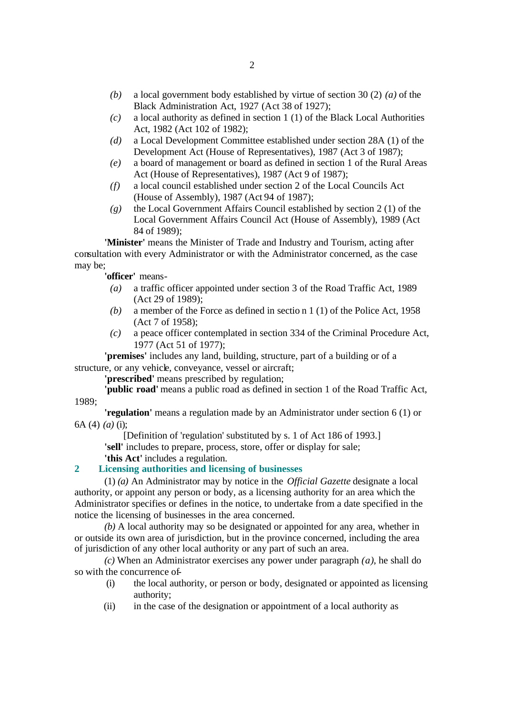- *(b)* a local government body established by virtue of section 30 (2) *(a)* of the Black Administration Act, 1927 (Act 38 of 1927);
- *(c)* a local authority as defined in section 1 (1) of the Black Local Authorities Act, 1982 (Act 102 of 1982);
- *(d)* a Local Development Committee established under section 28A (1) of the Development Act (House of Representatives), 1987 (Act 3 of 1987);
- *(e)* a board of management or board as defined in section 1 of the Rural Areas Act (House of Representatives), 1987 (Act 9 of 1987);
- *(f)* a local council established under section 2 of the Local Councils Act (House of Assembly), 1987 (Act 94 of 1987);
- *(g)* the Local Government Affairs Council established by section 2 (1) of the Local Government Affairs Council Act (House of Assembly), 1989 (Act 84 of 1989);

**'Minister'** means the Minister of Trade and Industry and Tourism, acting after consultation with every Administrator or with the Administrator concerned, as the case may be;

**'officer'** means-

- *(a)* a traffic officer appointed under section 3 of the Road Traffic Act, 1989 (Act 29 of 1989);
- *(b)* a member of the Force as defined in sectio n 1 (1) of the Police Act, 1958 (Act 7 of 1958);
- *(c)* a peace officer contemplated in section 334 of the Criminal Procedure Act, 1977 (Act 51 of 1977);

**'premises'** includes any land, building, structure, part of a building or of a structure, or any vehicle, conveyance, vessel or aircraft;

**'prescribed'** means prescribed by regulation;

**'public road'** means a public road as defined in section 1 of the Road Traffic Act, 1989;

**'regulation'** means a regulation made by an Administrator under section 6 (1) or 6A (4) *(a)* (i);

[Definition of 'regulation' substituted by s. 1 of Act 186 of 1993.]

**'sell'** includes to prepare, process, store, offer or display for sale;

**'this Act'** includes a regulation.

## **2 Licensing authorities and licensing of businesses**

(1) *(a)* An Administrator may by notice in the *Official Gazette* designate a local authority, or appoint any person or body, as a licensing authority for an area which the Administrator specifies or defines in the notice, to undertake from a date specified in the notice the licensing of businesses in the area concerned.

*(b)* A local authority may so be designated or appointed for any area, whether in or outside its own area of jurisdiction, but in the province concerned, including the area of jurisdiction of any other local authority or any part of such an area.

*(c)* When an Administrator exercises any power under paragraph *(a)*, he shall do so with the concurrence of-

- (i) the local authority, or person or body, designated or appointed as licensing authority;
- (ii) in the case of the designation or appointment of a local authority as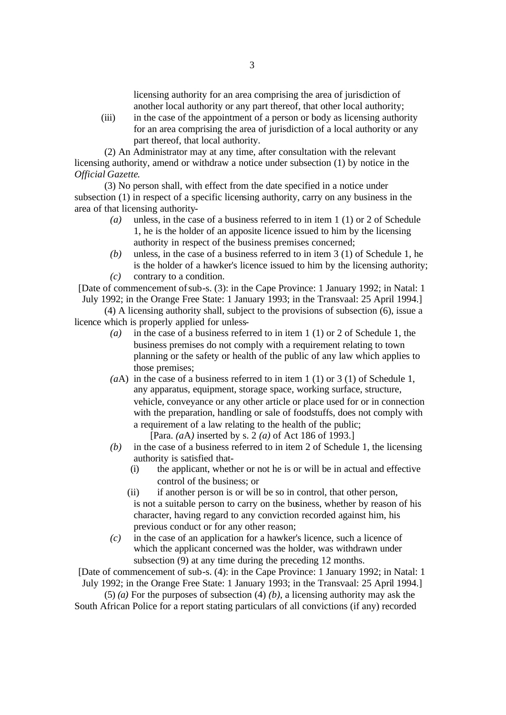licensing authority for an area comprising the area of jurisdiction of another local authority or any part thereof, that other local authority;

(iii) in the case of the appointment of a person or body as licensing authority for an area comprising the area of jurisdiction of a local authority or any part thereof, that local authority.

(2) An Administrator may at any time, after consultation with the relevant licensing authority, amend or withdraw a notice under subsection (1) by notice in the *Official Gazette*.

(3) No person shall, with effect from the date specified in a notice under subsection (1) in respect of a specific licensing authority, carry on any business in the area of that licensing authority-

- *(a)* unless, in the case of a business referred to in item 1 (1) or 2 of Schedule 1, he is the holder of an apposite licence issued to him by the licensing authority in respect of the business premises concerned;
- *(b)* unless, in the case of a business referred to in item 3 (1) of Schedule 1, he is the holder of a hawker's licence issued to him by the licensing authority;
- *(c)* contrary to a condition.

[Date of commencement of sub-s. (3): in the Cape Province: 1 January 1992; in Natal: 1 July 1992; in the Orange Free State: 1 January 1993; in the Transvaal: 25 April 1994.]

(4) A licensing authority shall, subject to the provisions of subsection (6), issue a licence which is properly applied for unless-

- *(a)* in the case of a business referred to in item 1 (1) or 2 of Schedule 1, the business premises do not comply with a requirement relating to town planning or the safety or health of the public of any law which applies to those premises;
- *(a*A) in the case of a business referred to in item 1 (1) or 3 (1) of Schedule 1, any apparatus, equipment, storage space, working surface, structure, vehicle, conveyance or any other article or place used for or in connection with the preparation, handling or sale of foodstuffs, does not comply with a requirement of a law relating to the health of the public;

[Para. *(a*A*)* inserted by s. 2 *(a)* of Act 186 of 1993.]

- *(b)* in the case of a business referred to in item 2 of Schedule 1, the licensing authority is satisfied that-
	- (i) the applicant, whether or not he is or will be in actual and effective control of the business; or
	- (ii) if another person is or will be so in control, that other person, is not a suitable person to carry on the business, whether by reason of his character, having regard to any conviction recorded against him, his previous conduct or for any other reason;
- *(c)* in the case of an application for a hawker's licence, such a licence of which the applicant concerned was the holder, was withdrawn under subsection (9) at any time during the preceding 12 months.

[Date of commencement of sub-s. (4): in the Cape Province: 1 January 1992; in Natal: 1 July 1992; in the Orange Free State: 1 January 1993; in the Transvaal: 25 April 1994.]

(5) *(a)* For the purposes of subsection (4) *(b)*, a licensing authority may ask the South African Police for a report stating particulars of all convictions (if any) recorded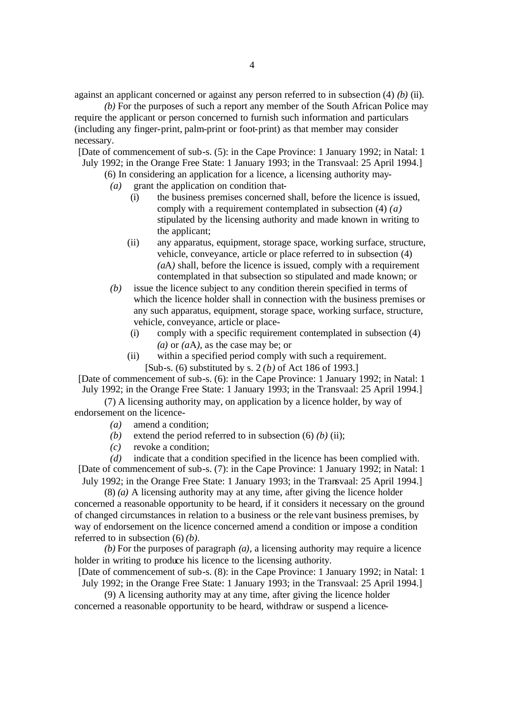against an applicant concerned or against any person referred to in subsection (4) *(b)* (ii).

*(b)* For the purposes of such a report any member of the South African Police may require the applicant or person concerned to furnish such information and particulars (including any finger-print, palm-print or foot-print) as that member may consider necessary.

[Date of commencement of sub-s. (5): in the Cape Province: 1 January 1992; in Natal: 1 July 1992; in the Orange Free State: 1 January 1993; in the Transvaal: 25 April 1994.]

(6) In considering an application for a licence, a licensing authority may-

- *(a)* grant the application on condition that-
	- (i) the business premises concerned shall, before the licence is issued, comply with a requirement contemplated in subsection (4) *(a)* stipulated by the licensing authority and made known in writing to the applicant;
	- (ii) any apparatus, equipment, storage space, working surface, structure, vehicle, conveyance, article or place referred to in subsection (4) *(a*A*)* shall, before the licence is issued, comply with a requirement contemplated in that subsection so stipulated and made known; or
- *(b)* issue the licence subject to any condition therein specified in terms of which the licence holder shall in connection with the business premises or any such apparatus, equipment, storage space, working surface, structure, vehicle, conveyance, article or place-
	- (i) comply with a specific requirement contemplated in subsection (4) *(a)* or *(a*A*)*, as the case may be; or
	- (ii) within a specified period comply with such a requirement. [Sub-s. (6) substituted by s. 2 *(b)* of Act 186 of 1993.]

[Date of commencement of sub-s. (6): in the Cape Province: 1 January 1992; in Natal: 1 July 1992; in the Orange Free State: 1 January 1993; in the Transvaal: 25 April 1994.]

(7) A licensing authority may, on application by a licence holder, by way of endorsement on the licence-

- *(a)* amend a condition;
- *(b)* extend the period referred to in subsection  $(6)$  *(b) (ii)*;
- *(c)* revoke a condition;

*(d)* indicate that a condition specified in the licence has been complied with. [Date of commencement of sub-s. (7): in the Cape Province: 1 January 1992; in Natal: 1 July 1992; in the Orange Free State: 1 January 1993; in the Transvaal: 25 April 1994.]

(8) *(a)* A licensing authority may at any time, after giving the licence holder concerned a reasonable opportunity to be heard, if it considers it necessary on the ground of changed circumstances in relation to a business or the relevant business premises, by way of endorsement on the licence concerned amend a condition or impose a condition referred to in subsection (6) *(b)*.

*(b)* For the purposes of paragraph *(a)*, a licensing authority may require a licence holder in writing to produce his licence to the licensing authority.

[Date of commencement of sub-s. (8): in the Cape Province: 1 January 1992; in Natal: 1 July 1992; in the Orange Free State: 1 January 1993; in the Transvaal: 25 April 1994.]

(9) A licensing authority may at any time, after giving the licence holder concerned a reasonable opportunity to be heard, withdraw or suspend a licence-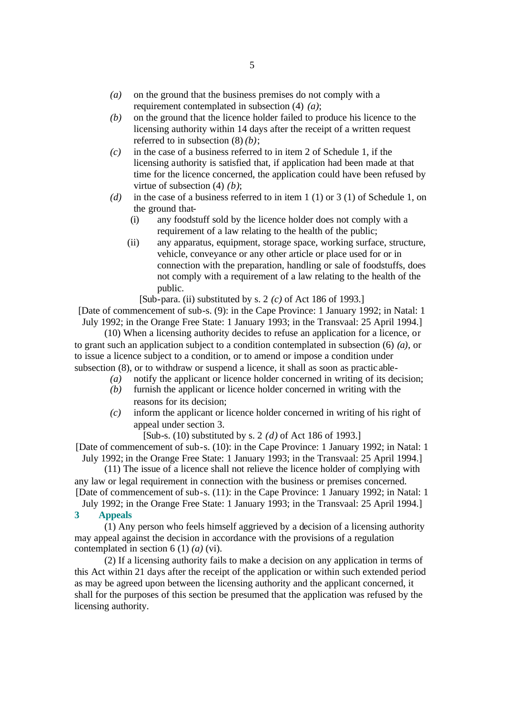- *(a)* on the ground that the business premises do not comply with a requirement contemplated in subsection (4) *(a)*;
- *(b)* on the ground that the licence holder failed to produce his licence to the licensing authority within 14 days after the receipt of a written request referred to in subsection (8) *(b)*;
- *(c)* in the case of a business referred to in item 2 of Schedule 1, if the licensing authority is satisfied that, if application had been made at that time for the licence concerned, the application could have been refused by virtue of subsection (4) *(b)*;
- *(d)* in the case of a business referred to in item 1 (1) or 3 (1) of Schedule 1, on the ground that-
	- (i) any foodstuff sold by the licence holder does not comply with a requirement of a law relating to the health of the public;
	- (ii) any apparatus, equipment, storage space, working surface, structure, vehicle, conveyance or any other article or place used for or in connection with the preparation, handling or sale of foodstuffs, does not comply with a requirement of a law relating to the health of the public.

[Sub-para. (ii) substituted by s. 2 *(c)* of Act 186 of 1993.]

[Date of commencement of sub-s. (9): in the Cape Province: 1 January 1992; in Natal: 1 July 1992; in the Orange Free State: 1 January 1993; in the Transvaal: 25 April 1994.]

(10) When a licensing authority decides to refuse an application for a licence, or to grant such an application subject to a condition contemplated in subsection (6) *(a)*, or to issue a licence subject to a condition, or to amend or impose a condition under subsection (8), or to withdraw or suspend a licence, it shall as soon as practic able-

- *(a)* notify the applicant or licence holder concerned in writing of its decision;
- *(b)* furnish the applicant or licence holder concerned in writing with the reasons for its decision;
- *(c)* inform the applicant or licence holder concerned in writing of his right of appeal under section 3.

[Sub-s. (10) substituted by s. 2 *(d)* of Act 186 of 1993.]

[Date of commencement of sub-s. (10): in the Cape Province: 1 January 1992; in Natal: 1 July 1992; in the Orange Free State: 1 January 1993; in the Transvaal: 25 April 1994.]

(11) The issue of a licence shall not relieve the licence holder of complying with any law or legal requirement in connection with the business or premises concerned. [Date of commencement of sub-s. (11): in the Cape Province: 1 January 1992; in Natal: 1

July 1992; in the Orange Free State: 1 January 1993; in the Transvaal: 25 April 1994.] **3 Appeals**

(1) Any person who feels himself aggrieved by a decision of a licensing authority may appeal against the decision in accordance with the provisions of a regulation contemplated in section 6 (1) *(a)* (vi).

(2) If a licensing authority fails to make a decision on any application in terms of this Act within 21 days after the receipt of the application or within such extended period as may be agreed upon between the licensing authority and the applicant concerned, it shall for the purposes of this section be presumed that the application was refused by the licensing authority.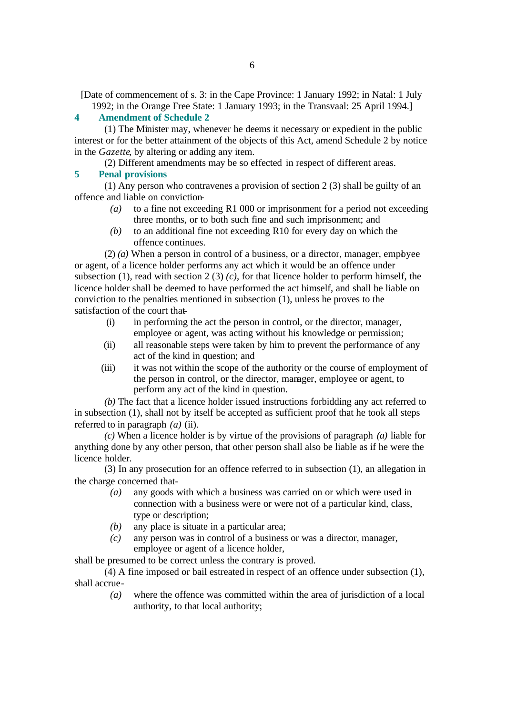[Date of commencement of s. 3: in the Cape Province: 1 January 1992; in Natal: 1 July 1992; in the Orange Free State: 1 January 1993; in the Transvaal: 25 April 1994.]

#### **4 Amendment of Schedule 2**

(1) The Minister may, whenever he deems it necessary or expedient in the public interest or for the better attainment of the objects of this Act, amend Schedule 2 by notice in the *Gazette*, by altering or adding any item.

(2) Different amendments may be so effected in respect of different areas.

#### **5 Penal provisions**

(1) Any person who contravenes a provision of section 2 (3) shall be guilty of an offence and liable on conviction-

- *(a)* to a fine not exceeding R1 000 or imprisonment for a period not exceeding three months, or to both such fine and such imprisonment; and
- *(b)* to an additional fine not exceeding R10 for every day on which the offence continues.

(2) *(a)* When a person in control of a business, or a director, manager, employee or agent, of a licence holder performs any act which it would be an offence under subsection (1), read with section 2 (3) *(c)*, for that licence holder to perform himself, the licence holder shall be deemed to have performed the act himself, and shall be liable on conviction to the penalties mentioned in subsection (1), unless he proves to the satisfaction of the court that-

- (i) in performing the act the person in control, or the director, manager, employee or agent, was acting without his knowledge or permission;
- (ii) all reasonable steps were taken by him to prevent the performance of any act of the kind in question; and
- (iii) it was not within the scope of the authority or the course of employment of the person in control, or the director, manager, employee or agent, to perform any act of the kind in question.

*(b)* The fact that a licence holder issued instructions forbidding any act referred to in subsection (1), shall not by itself be accepted as sufficient proof that he took all steps referred to in paragraph *(a)* (ii).

*(c)* When a licence holder is by virtue of the provisions of paragraph *(a)* liable for anything done by any other person, that other person shall also be liable as if he were the licence holder.

(3) In any prosecution for an offence referred to in subsection (1), an allegation in the charge concerned that-

- *(a)* any goods with which a business was carried on or which were used in connection with a business were or were not of a particular kind, class, type or description;
- *(b)* any place is situate in a particular area;
- *(c)* any person was in control of a business or was a director, manager, employee or agent of a licence holder,

shall be presumed to be correct unless the contrary is proved.

(4) A fine imposed or bail estreated in respect of an offence under subsection (1), shall accrue-

*(a)* where the offence was committed within the area of jurisdiction of a local authority, to that local authority;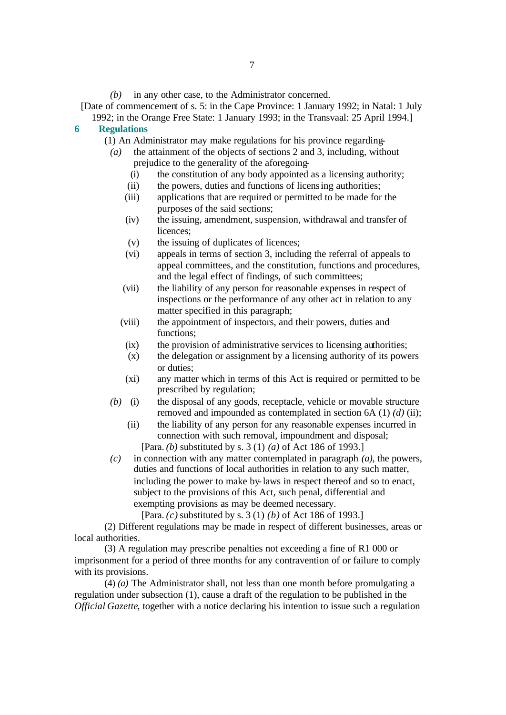```
[Date of commencement of s. 5: in the Cape Province: 1 January 1992; in Natal: 1 July
```
1992; in the Orange Free State: 1 January 1993; in the Transvaal: 25 April 1994.] **6 Regulations**

#### (1) An Administrator may make regulations for his province regarding-

- *(a)* the attainment of the objects of sections 2 and 3, including, without prejudice to the generality of the aforegoing-
	- (i) the constitution of any body appointed as a licensing authority;
	- (ii) the powers, duties and functions of licensing authorities;
	- (iii) applications that are required or permitted to be made for the purposes of the said sections;
	- (iv) the issuing, amendment, suspension, withdrawal and transfer of licences;
	- (v) the issuing of duplicates of licences;
	- (vi) appeals in terms of section 3, including the referral of appeals to appeal committees, and the constitution, functions and procedures, and the legal effect of findings, of such committees;
	- (vii) the liability of any person for reasonable expenses in respect of inspections or the performance of any other act in relation to any matter specified in this paragraph;
	- (viii) the appointment of inspectors, and their powers, duties and functions;
		- (ix) the provision of administrative services to licensing authorities;
		- (x) the delegation or assignment by a licensing authority of its powers or duties;
		- (xi) any matter which in terms of this Act is required or permitted to be prescribed by regulation;
- *(b)* (i) the disposal of any goods, receptacle, vehicle or movable structure removed and impounded as contemplated in section 6A (1) *(d)* (ii);
	- (ii) the liability of any person for any reasonable expenses incurred in connection with such removal, impoundment and disposal;

[Para. *(b)* substituted by s. 3 (1) *(a)* of Act 186 of 1993.]

*(c)* in connection with any matter contemplated in paragraph *(a)*, the powers, duties and functions of local authorities in relation to any such matter, including the power to make by-laws in respect thereof and so to enact, subject to the provisions of this Act, such penal, differential and exempting provisions as may be deemed necessary.

[Para. *(c)* substituted by s. 3 (1) *(b)* of Act 186 of 1993.]

(2) Different regulations may be made in respect of different businesses, areas or local authorities.

(3) A regulation may prescribe penalties not exceeding a fine of R1 000 or imprisonment for a period of three months for any contravention of or failure to comply with its provisions.

(4) *(a)* The Administrator shall, not less than one month before promulgating a regulation under subsection (1), cause a draft of the regulation to be published in the *Official Gazette*, together with a notice declaring his intention to issue such a regulation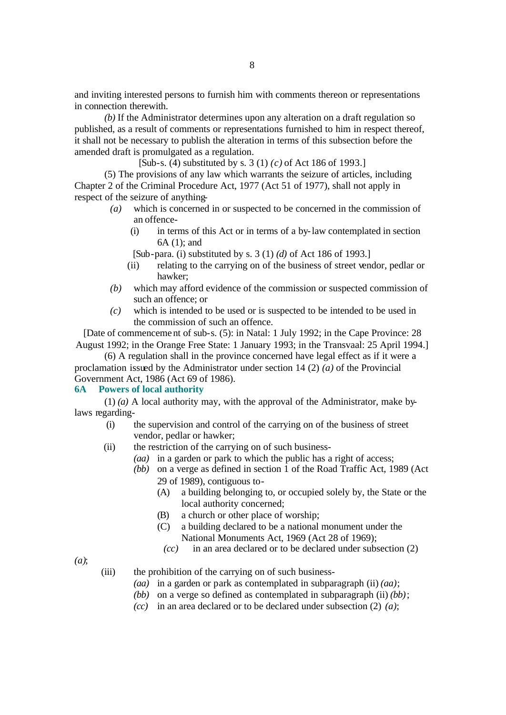and inviting interested persons to furnish him with comments thereon or representations in connection therewith.

*(b)* If the Administrator determines upon any alteration on a draft regulation so published, as a result of comments or representations furnished to him in respect thereof, it shall not be necessary to publish the alteration in terms of this subsection before the amended draft is promulgated as a regulation.

[Sub-s. (4) substituted by s. 3 (1) *(c)* of Act 186 of 1993.]

(5) The provisions of any law which warrants the seizure of articles, including Chapter 2 of the Criminal Procedure Act, 1977 (Act 51 of 1977), shall not apply in respect of the seizure of anything-

- *(a)* which is concerned in or suspected to be concerned in the commission of an offence-
	- (i) in terms of this Act or in terms of a by-law contemplated in section 6A (1); and
	- [Sub-para. (i) substituted by s. 3 (1) *(d)* of Act 186 of 1993.]
	- (ii) relating to the carrying on of the business of street vendor, pedlar or hawker;
- *(b)* which may afford evidence of the commission or suspected commission of such an offence; or
- *(c)* which is intended to be used or is suspected to be intended to be used in the commission of such an offence.

[Date of commencement of sub-s. (5): in Natal: 1 July 1992; in the Cape Province: 28 August 1992; in the Orange Free State: 1 January 1993; in the Transvaal: 25 April 1994.]

(6) A regulation shall in the province concerned have legal effect as if it were a proclamation issued by the Administrator under section 14 (2) *(a)* of the Provincial Government Act, 1986 (Act 69 of 1986).

#### **6A Powers of local authority**

(1) *(a)* A local authority may, with the approval of the Administrator, make bylaws regarding-

- (i) the supervision and control of the carrying on of the business of street vendor, pedlar or hawker;
- (ii) the restriction of the carrying on of such business-
	- *(aa)* in a garden or park to which the public has a right of access;
	- *(bb)* on a verge as defined in section 1 of the Road Traffic Act, 1989 (Act 29 of 1989), contiguous to-
		- (A) a building belonging to, or occupied solely by, the State or the local authority concerned;
		- (B) a church or other place of worship;
		- (C) a building declared to be a national monument under the National Monuments Act, 1969 (Act 28 of 1969);
			- *(cc)* in an area declared or to be declared under subsection (2)

*(a)*;

- (iii) the prohibition of the carrying on of such business-
	- *(aa)* in a garden or park as contemplated in subparagraph (ii) *(aa)*;
	- *(bb)* on a verge so defined as contemplated in subparagraph (ii) *(bb)*;
	- *(cc)* in an area declared or to be declared under subsection (2) *(a)*;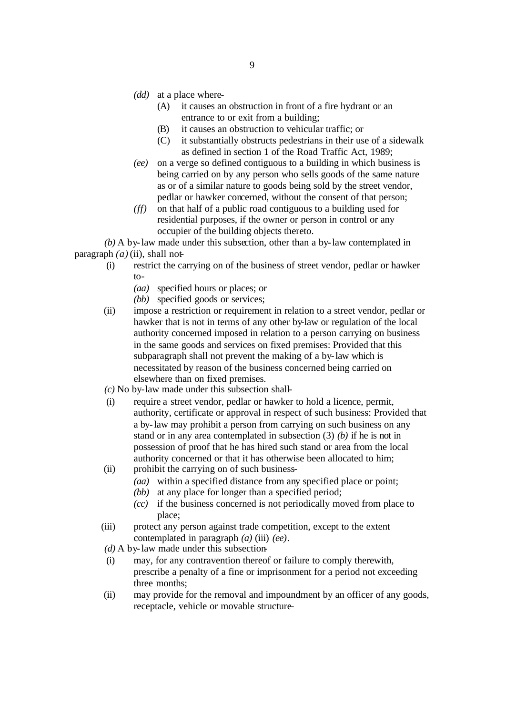- *(dd)* at a place where-
	- (A) it causes an obstruction in front of a fire hydrant or an entrance to or exit from a building;
	- (B) it causes an obstruction to vehicular traffic; or
	- (C) it substantially obstructs pedestrians in their use of a sidewalk as defined in section 1 of the Road Traffic Act, 1989;
- *(ee)* on a verge so defined contiguous to a building in which business is being carried on by any person who sells goods of the same nature as or of a similar nature to goods being sold by the street vendor, pedlar or hawker concerned, without the consent of that person;
- *(ff)* on that half of a public road contiguous to a building used for residential purposes, if the owner or person in control or any occupier of the building objects thereto.

*(b)* A by-law made under this subsection, other than a by-law contemplated in paragraph  $(a)$  (ii), shall not-

- (i) restrict the carrying on of the business of street vendor, pedlar or hawker to-
	- *(aa)* specified hours or places; or
	- *(bb)* specified goods or services;
- (ii) impose a restriction or requirement in relation to a street vendor, pedlar or hawker that is not in terms of any other by-law or regulation of the local authority concerned imposed in relation to a person carrying on business in the same goods and services on fixed premises: Provided that this subparagraph shall not prevent the making of a by-law which is necessitated by reason of the business concerned being carried on elsewhere than on fixed premises.
- *(c)* No by-law made under this subsection shall-
- (i) require a street vendor, pedlar or hawker to hold a licence, permit, authority, certificate or approval in respect of such business: Provided that a by-law may prohibit a person from carrying on such business on any stand or in any area contemplated in subsection (3) *(b)* if he is not in possession of proof that he has hired such stand or area from the local authority concerned or that it has otherwise been allocated to him;
- (ii) prohibit the carrying on of such business-
	- *(aa)* within a specified distance from any specified place or point;
	- *(bb)* at any place for longer than a specified period;
	- *(cc)* if the business concerned is not periodically moved from place to place;
- (iii) protect any person against trade competition, except to the extent contemplated in paragraph *(a)* (iii) *(ee)*.

*(d)* A by-law made under this subsection-

- (i) may, for any contravention thereof or failure to comply therewith, prescribe a penalty of a fine or imprisonment for a period not exceeding three months;
- (ii) may provide for the removal and impoundment by an officer of any goods, receptacle, vehicle or movable structure-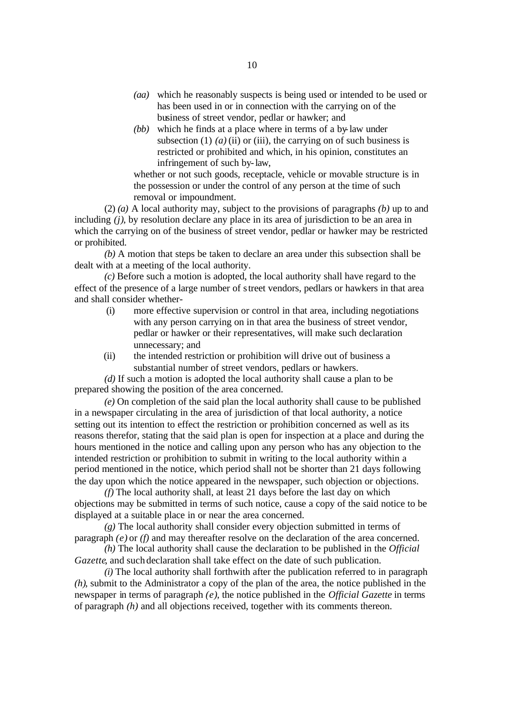- *(aa)* which he reasonably suspects is being used or intended to be used or has been used in or in connection with the carrying on of the business of street vendor, pedlar or hawker; and
- *(bb)* which he finds at a place where in terms of a by-law under subsection (1)  $(a)$  (ii) or (iii), the carrying on of such business is restricted or prohibited and which, in his opinion, constitutes an infringement of such by-law,

whether or not such goods, receptacle, vehicle or movable structure is in the possession or under the control of any person at the time of such removal or impoundment.

(2) *(a)* A local authority may, subject to the provisions of paragraphs *(b)* up to and including *(j)*, by resolution declare any place in its area of jurisdiction to be an area in which the carrying on of the business of street vendor, pedlar or hawker may be restricted or prohibited.

*(b)* A motion that steps be taken to declare an area under this subsection shall be dealt with at a meeting of the local authority.

*(c)* Before such a motion is adopted, the local authority shall have regard to the effect of the presence of a large number of street vendors, pedlars or hawkers in that area and shall consider whether-

- (i) more effective supervision or control in that area, including negotiations with any person carrying on in that area the business of street vendor, pedlar or hawker or their representatives, will make such declaration unnecessary; and
- (ii) the intended restriction or prohibition will drive out of business a substantial number of street vendors, pedlars or hawkers.

*(d)* If such a motion is adopted the local authority shall cause a plan to be prepared showing the position of the area concerned.

*(e)* On completion of the said plan the local authority shall cause to be published in a newspaper circulating in the area of jurisdiction of that local authority, a notice setting out its intention to effect the restriction or prohibition concerned as well as its reasons therefor, stating that the said plan is open for inspection at a place and during the hours mentioned in the notice and calling upon any person who has any objection to the intended restriction or prohibition to submit in writing to the local authority within a period mentioned in the notice, which period shall not be shorter than 21 days following the day upon which the notice appeared in the newspaper, such objection or objections.

*(f)* The local authority shall, at least 21 days before the last day on which objections may be submitted in terms of such notice, cause a copy of the said notice to be displayed at a suitable place in or near the area concerned.

*(g)* The local authority shall consider every objection submitted in terms of paragraph *(e)* or *(f)* and may thereafter resolve on the declaration of the area concerned.

*(h)* The local authority shall cause the declaration to be published in the *Official Gazette*, and such declaration shall take effect on the date of such publication.

*(i)* The local authority shall forthwith after the publication referred to in paragraph *(h)*, submit to the Administrator a copy of the plan of the area, the notice published in the newspaper in terms of paragraph *(e)*, the notice published in the *Official Gazette* in terms of paragraph *(h)* and all objections received, together with its comments thereon.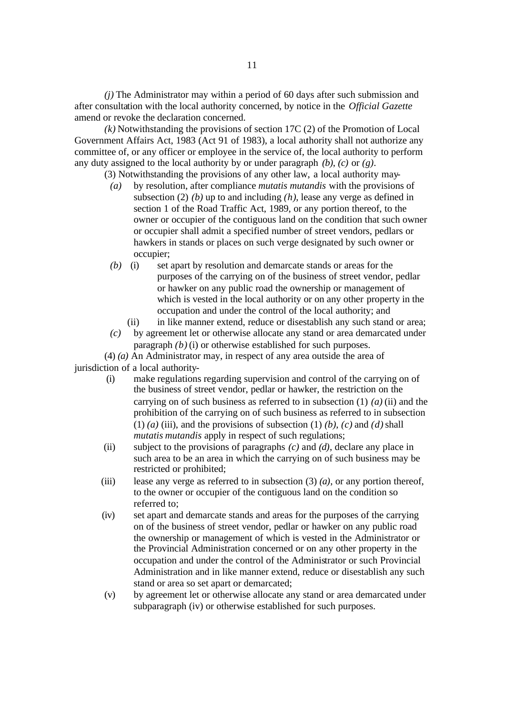*(j)* The Administrator may within a period of 60 days after such submission and after consultation with the local authority concerned, by notice in the *Official Gazette* amend or revoke the declaration concerned.

*(k)* Notwithstanding the provisions of section 17C (2) of the Promotion of Local Government Affairs Act, 1983 (Act 91 of 1983), a local authority shall not authorize any committee of, or any officer or employee in the service of, the local authority to perform any duty assigned to the local authority by or under paragraph *(b)*, *(c)* or *(g)*.

(3) Notwithstanding the provisions of any other law, a local authority may-

- *(a)* by resolution, after compliance *mutatis mutandis* with the provisions of subsection (2) *(b)* up to and including *(h)*, lease any verge as defined in section 1 of the Road Traffic Act, 1989, or any portion thereof, to the owner or occupier of the contiguous land on the condition that such owner or occupier shall admit a specified number of street vendors, pedlars or hawkers in stands or places on such verge designated by such owner or occupier;
- *(b)* (i) set apart by resolution and demarcate stands or areas for the purposes of the carrying on of the business of street vendor, pedlar or hawker on any public road the ownership or management of which is vested in the local authority or on any other property in the occupation and under the control of the local authority; and
	- (ii) in like manner extend, reduce or disestablish any such stand or area;
- *(c)* by agreement let or otherwise allocate any stand or area demarcated under paragraph *(b)* (i) or otherwise established for such purposes.

(4) *(a)* An Administrator may, in respect of any area outside the area of

jurisdiction of a local authority-

- (i) make regulations regarding supervision and control of the carrying on of the business of street vendor, pedlar or hawker, the restriction on the carrying on of such business as referred to in subsection (1) *(a)* (ii) and the prohibition of the carrying on of such business as referred to in subsection (1) *(a)* (iii), and the provisions of subsection (1) *(b)*, *(c)* and *(d)* shall *mutatis mutandis* apply in respect of such regulations;
- (ii) subject to the provisions of paragraphs *(c)* and *(d)*, declare any place in such area to be an area in which the carrying on of such business may be restricted or prohibited;
- (iii) lease any verge as referred to in subsection (3) *(a)*, or any portion thereof, to the owner or occupier of the contiguous land on the condition so referred to;
- (iv) set apart and demarcate stands and areas for the purposes of the carrying on of the business of street vendor, pedlar or hawker on any public road the ownership or management of which is vested in the Administrator or the Provincial Administration concerned or on any other property in the occupation and under the control of the Administrator or such Provincial Administration and in like manner extend, reduce or disestablish any such stand or area so set apart or demarcated;
- (v) by agreement let or otherwise allocate any stand or area demarcated under subparagraph (iv) or otherwise established for such purposes.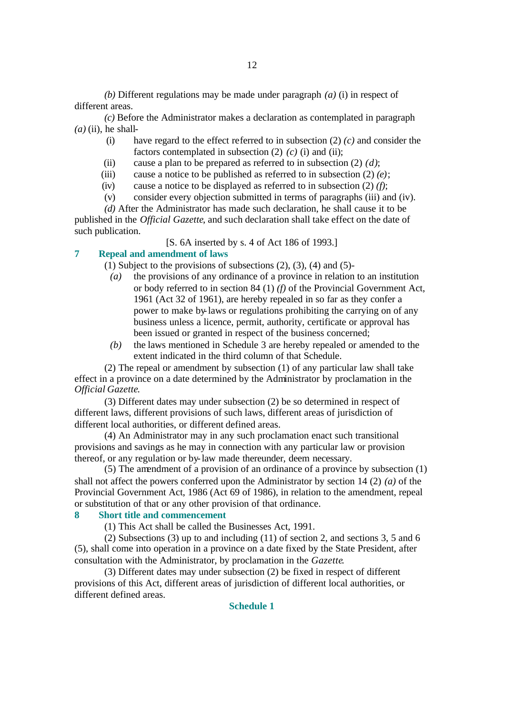*(b)* Different regulations may be made under paragraph *(a)* (i) in respect of different areas.

*(c)* Before the Administrator makes a declaration as contemplated in paragraph  $(a)$  (ii), he shall-

- (i) have regard to the effect referred to in subsection (2) *(c)* and consider the factors contemplated in subsection (2) *(c)* (i) and (ii);
- (ii) cause a plan to be prepared as referred to in subsection  $(2)$   $(d)$ ;
- (iii) cause a notice to be published as referred to in subsection  $(2)$   $(e)$ ;
- (iv) cause a notice to be displayed as referred to in subsection (2) *(f)*;
- (v) consider every objection submitted in terms of paragraphs (iii) and (iv).

*(d)* After the Administrator has made such declaration, he shall cause it to be published in the *Official Gazette*, and such declaration shall take effect on the date of such publication.

[S. 6A inserted by s. 4 of Act 186 of 1993.]

# **7 Repeal and amendment of laws**

(1) Subject to the provisions of subsections  $(2)$ ,  $(3)$ ,  $(4)$  and  $(5)$ -

- *(a)* the provisions of any ordinance of a province in relation to an institution or body referred to in section 84 (1) *(f)* of the Provincial Government Act, 1961 (Act 32 of 1961), are hereby repealed in so far as they confer a power to make by-laws or regulations prohibiting the carrying on of any business unless a licence, permit, authority, certificate or approval has been issued or granted in respect of the business concerned;
- *(b)* the laws mentioned in Schedule 3 are hereby repealed or amended to the extent indicated in the third column of that Schedule.

(2) The repeal or amendment by subsection (1) of any particular law shall take effect in a province on a date determined by the Administrator by proclamation in the *Official Gazette*.

(3) Different dates may under subsection (2) be so determined in respect of different laws, different provisions of such laws, different areas of jurisdiction of different local authorities, or different defined areas.

(4) An Administrator may in any such proclamation enact such transitional provisions and savings as he may in connection with any particular law or provision thereof, or any regulation or by-law made thereunder, deem necessary.

(5) The amendment of a provision of an ordinance of a province by subsection (1) shall not affect the powers conferred upon the Administrator by section 14 (2) *(a)* of the Provincial Government Act, 1986 (Act 69 of 1986), in relation to the amendment, repeal or substitution of that or any other provision of that ordinance.

#### **8 Short title and commencement**

(1) This Act shall be called the Businesses Act, 1991.

(2) Subsections (3) up to and including (11) of section 2, and sections 3, 5 and 6 (5), shall come into operation in a province on a date fixed by the State President, after consultation with the Administrator, by proclamation in the *Gazette*.

(3) Different dates may under subsection (2) be fixed in respect of different provisions of this Act, different areas of jurisdiction of different local authorities, or different defined areas.

#### **Schedule 1**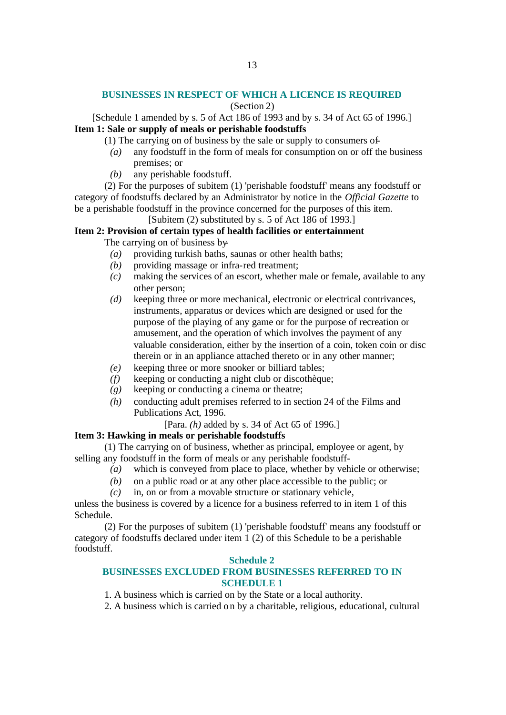#### **BUSINESSES IN RESPECT OF WHICH A LICENCE IS REQUIRED**

## (Section 2)

[Schedule 1 amended by s. 5 of Act 186 of 1993 and by s. 34 of Act 65 of 1996.] **Item 1: Sale or supply of meals or perishable foodstuffs**

- (1) The carrying on of business by the sale or supply to consumers of-
- *(a)* any foodstuff in the form of meals for consumption on or off the business premises; or
- *(b)* any perishable foodstuff.

(2) For the purposes of subitem (1) 'perishable foodstuff' means any foodstuff or category of foodstuffs declared by an Administrator by notice in the *Official Gazette* to be a perishable foodstuff in the province concerned for the purposes of this item.

[Subitem (2) substituted by s. 5 of Act 186 of 1993.]

# **Item 2: Provision of certain types of health facilities or entertainment**

The carrying on of business by-

- *(a)* providing turkish baths, saunas or other health baths;
- *(b)* providing massage or infra-red treatment:
- *(c)* making the services of an escort, whether male or female, available to any other person;
- *(d)* keeping three or more mechanical, electronic or electrical contrivances, instruments, apparatus or devices which are designed or used for the purpose of the playing of any game or for the purpose of recreation or amusement, and the operation of which involves the payment of any valuable consideration, either by the insertion of a coin, token coin or disc therein or in an appliance attached thereto or in any other manner;
- *(e)* keeping three or more snooker or billiard tables;
- *(f)* keeping or conducting a night club or discothèque;
- *(g)* keeping or conducting a cinema or theatre;
- *(h)* conducting adult premises referred to in section 24 of the Films and Publications Act, 1996.

[Para. *(h)* added by s. 34 of Act 65 of 1996.]

#### **Item 3: Hawking in meals or perishable foodstuffs**

(1) The carrying on of business, whether as principal, employee or agent, by selling any foodstuff in the form of meals or any perishable foodstuff-

- *(a)* which is conveyed from place to place, whether by vehicle or otherwise;
	- *(b)* on a public road or at any other place accessible to the public; or
	- *(c)* in, on or from a movable structure or stationary vehicle,

unless the business is covered by a licence for a business referred to in item 1 of this Schedule.

(2) For the purposes of subitem (1) 'perishable foodstuff' means any foodstuff or category of foodstuffs declared under item 1 (2) of this Schedule to be a perishable foodstuff.

#### **Schedule 2**

#### **BUSINESSES EXCLUDED FROM BUSINESSES REFERRED TO IN SCHEDULE 1**

- 1. A business which is carried on by the State or a local authority.
- 2. A business which is carried on by a charitable, religious, educational, cultural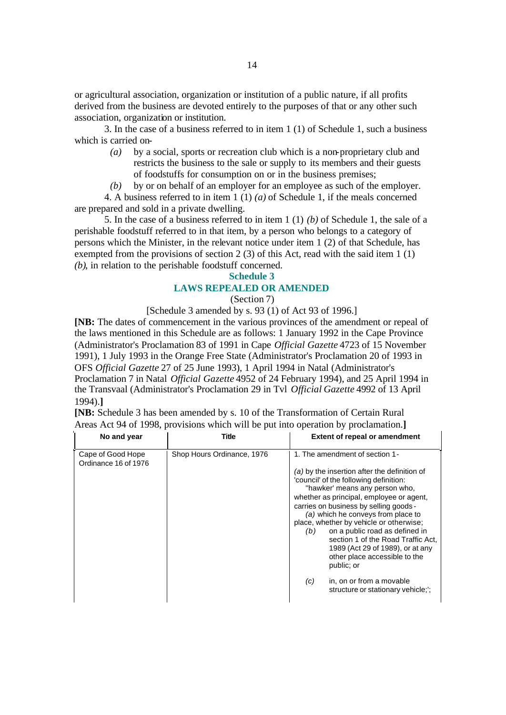or agricultural association, organization or institution of a public nature, if all profits derived from the business are devoted entirely to the purposes of that or any other such association, organization or institution.

3. In the case of a business referred to in item 1 (1) of Schedule 1, such a business which is carried on-

- *(a)* by a social, sports or recreation club which is a non-proprietary club and restricts the business to the sale or supply to its members and their guests of foodstuffs for consumption on or in the business premises;
- *(b)* by or on behalf of an employer for an employee as such of the employer.

4. A business referred to in item 1 (1) *(a)* of Schedule 1, if the meals concerned are prepared and sold in a private dwelling.

5. In the case of a business referred to in item 1 (1) *(b)* of Schedule 1, the sale of a perishable foodstuff referred to in that item, by a person who belongs to a category of persons which the Minister, in the relevant notice under item 1 (2) of that Schedule, has exempted from the provisions of section 2 (3) of this Act, read with the said item 1 (1) *(b)*, in relation to the perishable foodstuff concerned.

#### **Schedule 3**

#### **LAWS REPEALED OR AMENDED**

(Section 7)

[Schedule 3 amended by s. 93 (1) of Act 93 of 1996.]

**[NB:** The dates of commencement in the various provinces of the amendment or repeal of the laws mentioned in this Schedule are as follows: 1 January 1992 in the Cape Province (Administrator's Proclamation 83 of 1991 in Cape *Official Gazette* 4723 of 15 November 1991), 1 July 1993 in the Orange Free State (Administrator's Proclamation 20 of 1993 in OFS *Official Gazette* 27 of 25 June 1993), 1 April 1994 in Natal (Administrator's Proclamation 7 in Natal *Official Gazette* 4952 of 24 February 1994), and 25 April 1994 in the Transvaal (Administrator's Proclamation 29 in Tvl *Official Gazette* 4992 of 13 April 1994).**]**

**[NB:** Schedule 3 has been amended by s. 10 of the Transformation of Certain Rural Areas Act 94 of 1998, provisions which will be put into operation by proclamation.**]**

| No and year                               | Title                      | <b>Extent of repeal or amendment</b>                                                                                                                                                                                                                                                                                                                                                                                                                                                                                                                                         |
|-------------------------------------------|----------------------------|------------------------------------------------------------------------------------------------------------------------------------------------------------------------------------------------------------------------------------------------------------------------------------------------------------------------------------------------------------------------------------------------------------------------------------------------------------------------------------------------------------------------------------------------------------------------------|
| Cape of Good Hope<br>Ordinance 16 of 1976 | Shop Hours Ordinance, 1976 | 1. The amendment of section 1-<br>(a) by the insertion after the definition of<br>'council' of the following definition:<br>"hawker' means any person who,<br>whether as principal, employee or agent,<br>carries on business by selling goods -<br>(a) which he conveys from place to<br>place, whether by vehicle or otherwise;<br>on a public road as defined in<br>(b)<br>section 1 of the Road Traffic Act,<br>1989 (Act 29 of 1989), or at any<br>other place accessible to the<br>public; or<br>in, on or from a movable<br>(c)<br>structure or stationary vehicle;'; |
|                                           |                            |                                                                                                                                                                                                                                                                                                                                                                                                                                                                                                                                                                              |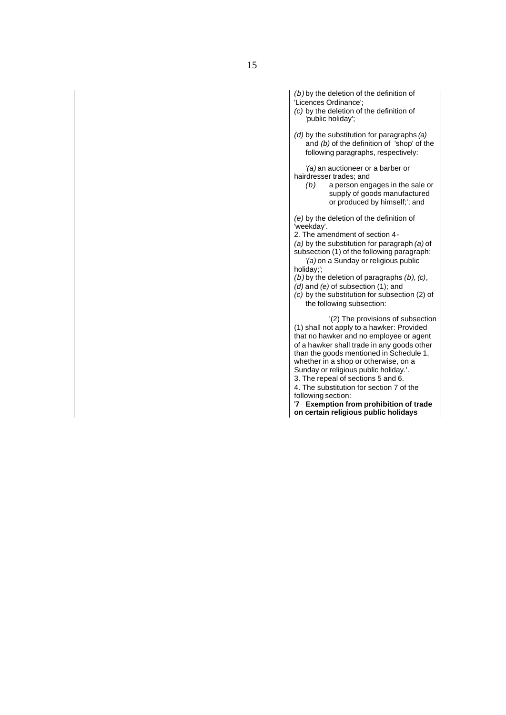```
(b) by the deletion of the definition of 
'Licences Ordinance';
(c) by the deletion of the definition of 
    'public holiday';
(d) by the substitution for paragraphs (a)
   and (b) of the definition of 'shop' of the 
   following paragraphs, respectively:
   '(a) an auctioneer or a barber or 
hairdresser trades; and
   (b) a person engages in the sale or 
           supply of goods manufactured 
           or produced by himself;'; and
(e) by the deletion of the definition of 
'weekday'.
2. The amendment of section 4-
(a) by the substitution for paragraph (a) of 
subsection (1) of the following paragraph:
   '(a) on a Sunday or religious public 
holiday;';
(b) by the deletion of paragraphs (b), (c), 
(d) and (e) of subsection (1); and
(c) by the substitution for subsection (2) of 
   the following subsection:
           '(2) The provisions of subsection 
(1) shall not apply to a hawker: Provided 
that no hawker and no employee or agent 
of a hawker shall trade in any goods other 
than the goods mentioned in Schedule 1, 
whether in a shop or otherwise, on a
Sunday or religious public holiday.'.
3. The repeal of sections 5 and 6.
4. The substitution for section 7 of the 
following section:
'7 Exemption from prohibition of trade 
on certain religious public holidays
```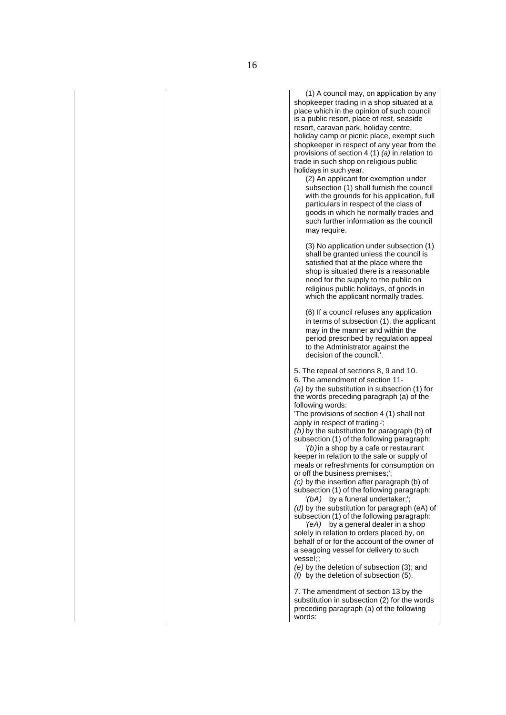resort, caravan park, holiday centre, holiday camp or picnic place, exempt such shopkeeper in respect of any year from the provisions of section 4 (1) *(a)* in relation to trade in such shop on religious public holidays in such year.

(2) An applicant for exemption under subsection (1) shall furnish the council with the grounds for his application, full particulars in respect of the class of goods in which he normally trades and such further information as the council may require.

(3) No application under subsection (1) shall be granted unless the council is satisfied that at the place where the shop is situated there is a reasonable need for the supply to the public on religious public holidays, of goods in which the applicant normally trades.

(6) If a council refuses any application in terms of subsection (1), the applicant may in the manner and within the period prescribed by regulation appeal to the Administrator against the decision of the council.'.

5. The repeal of sections 8, 9 and 10.

6. The amendment of section 11-

*(a)* by the substitution in subsection (1) for the words preceding paragraph (a) of the following words:

'The provisions of section 4 (1) shall not apply in respect of trading-';

*(b)* by the substitution for paragraph (b) of subsection (1) of the following paragraph:

'*(b)*in a shop by a cafe or restaurant keeper in relation to the sale or supply of meals or refreshments for consumption on or off the business premises;';

*(c)* by the insertion after paragraph (b) of subsection (1) of the following paragraph: '*(bA)* by a funeral undertaker;';

*(d)* by the substitution for paragraph (eA) of subsection (1) of the following paragraph:

'*(eA)* by a general dealer in a shop solely in relation to orders placed by, on behalf of or for the account of the owner of a seagoing vessel for delivery to such vessel;';

*(e)* by the deletion of subsection (3); and *(f)* by the deletion of subsection (5).

7. The amendment of section 13 by the substitution in subsection (2) for the words preceding paragraph (a) of the following words: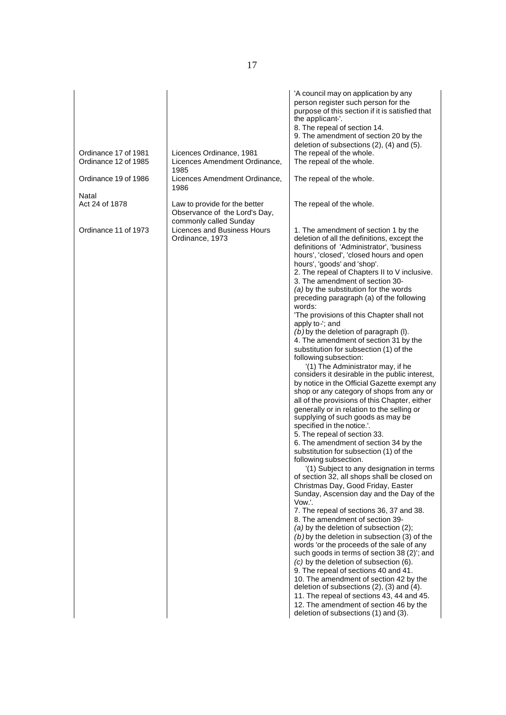| Ordinance 17 of 1981<br>Ordinance 12 of 1985<br>Ordinance 19 of 1986 | Licences Ordinance, 1981<br>Licences Amendment Ordinance,<br>1985<br>Licences Amendment Ordinance,<br>1986                                 | 'A council may on application by any<br>person register such person for the<br>purpose of this section if it is satisfied that<br>the applicant-'.<br>8. The repeal of section 14.<br>9. The amendment of section 20 by the<br>deletion of subsections (2), (4) and (5).<br>The repeal of the whole.<br>The repeal of the whole.<br>The repeal of the whole.                                                                                                                                                                                                                                                                                                                                                                                                                                                                                                                                                                                                                                                                                                                                                                                                                                                                                                                                                                                                                                                                                                                                                                                                                                                                                                                                                                                                                                                                                                                                                             |
|----------------------------------------------------------------------|--------------------------------------------------------------------------------------------------------------------------------------------|--------------------------------------------------------------------------------------------------------------------------------------------------------------------------------------------------------------------------------------------------------------------------------------------------------------------------------------------------------------------------------------------------------------------------------------------------------------------------------------------------------------------------------------------------------------------------------------------------------------------------------------------------------------------------------------------------------------------------------------------------------------------------------------------------------------------------------------------------------------------------------------------------------------------------------------------------------------------------------------------------------------------------------------------------------------------------------------------------------------------------------------------------------------------------------------------------------------------------------------------------------------------------------------------------------------------------------------------------------------------------------------------------------------------------------------------------------------------------------------------------------------------------------------------------------------------------------------------------------------------------------------------------------------------------------------------------------------------------------------------------------------------------------------------------------------------------------------------------------------------------------------------------------------------------|
| Natal<br>Act 24 of 1878<br>Ordinance 11 of 1973                      | Law to provide for the better<br>Observance of the Lord's Day,<br>commonly called Sunday<br>Licences and Business Hours<br>Ordinance, 1973 | The repeal of the whole.<br>1. The amendment of section 1 by the<br>deletion of all the definitions, except the<br>definitions of 'Administrator', 'business<br>hours', 'closed', 'closed hours and open<br>hours', 'goods' and 'shop'.<br>2. The repeal of Chapters II to V inclusive.<br>3. The amendment of section 30-<br>(a) by the substitution for the words<br>preceding paragraph (a) of the following<br>words:<br>'The provisions of this Chapter shall not<br>apply to-'; and<br>$(b)$ by the deletion of paragraph (I).<br>4. The amendment of section 31 by the<br>substitution for subsection (1) of the<br>following subsection:<br>'(1) The Administrator may, if he<br>considers it desirable in the public interest,<br>by notice in the Official Gazette exempt any<br>shop or any category of shops from any or<br>all of the provisions of this Chapter, either<br>generally or in relation to the selling or<br>supplying of such goods as may be<br>specified in the notice.'.<br>5. The repeal of section 33.<br>6. The amendment of section 34 by the<br>substitution for subsection (1) of the<br>following subsection.<br>'(1) Subject to any designation in terms<br>of section 32, all shops shall be closed on<br>Christmas Day, Good Friday, Easter<br>Sunday, Ascension day and the Day of the<br>Vow.'.<br>7. The repeal of sections 36, 37 and 38.<br>8. The amendment of section 39-<br>(a) by the deletion of subsection (2);<br>$(b)$ by the deletion in subsection (3) of the<br>words 'or the proceeds of the sale of any<br>such goods in terms of section 38 (2)'; and<br>(c) by the deletion of subsection (6).<br>9. The repeal of sections 40 and 41.<br>10. The amendment of section 42 by the<br>deletion of subsections (2), (3) and (4).<br>11. The repeal of sections 43, 44 and 45.<br>12. The amendment of section 46 by the<br>deletion of subsections (1) and (3). |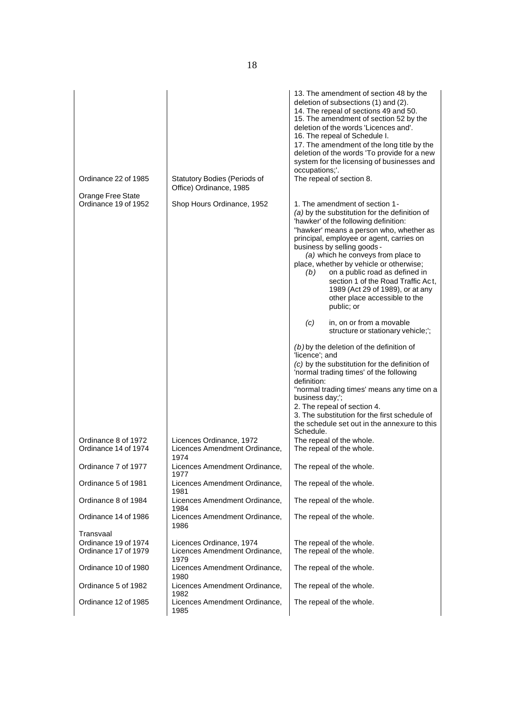| Ordinance 22 of 1985                        | <b>Statutory Bodies (Periods of</b><br>Office) Ordinance, 1985 | 13. The amendment of section 48 by the<br>deletion of subsections (1) and (2).<br>14. The repeal of sections 49 and 50.<br>15. The amendment of section 52 by the<br>deletion of the words 'Licences and'.<br>16. The repeal of Schedule I.<br>17. The amendment of the long title by the<br>deletion of the words 'To provide for a new<br>system for the licensing of businesses and<br>occupations;'.<br>The repeal of section 8.                                                                                                                                                                                                                                                                                                                                                                                                                                                                                                                                |
|---------------------------------------------|----------------------------------------------------------------|---------------------------------------------------------------------------------------------------------------------------------------------------------------------------------------------------------------------------------------------------------------------------------------------------------------------------------------------------------------------------------------------------------------------------------------------------------------------------------------------------------------------------------------------------------------------------------------------------------------------------------------------------------------------------------------------------------------------------------------------------------------------------------------------------------------------------------------------------------------------------------------------------------------------------------------------------------------------|
| Orange Free State<br>Ordinance 19 of 1952   | Shop Hours Ordinance, 1952                                     | 1. The amendment of section 1-<br>(a) by the substitution for the definition of<br>'hawker' of the following definition:<br>"hawker' means a person who, whether as<br>principal, employee or agent, carries on<br>business by selling goods -<br>(a) which he conveys from place to<br>place, whether by vehicle or otherwise;<br>on a public road as defined in<br>(b)<br>section 1 of the Road Traffic Act,<br>1989 (Act 29 of 1989), or at any<br>other place accessible to the<br>public; or<br>in, on or from a movable<br>(c)<br>structure or stationary vehicle;';<br>$(b)$ by the deletion of the definition of<br>'licence'; and<br>(c) by the substitution for the definition of<br>'normal trading times' of the following<br>definition:<br>"normal trading times' means any time on a<br>business day;';<br>2. The repeal of section 4.<br>3. The substitution for the first schedule of<br>the schedule set out in the annexure to this<br>Schedule. |
| Ordinance 8 of 1972<br>Ordinance 14 of 1974 | Licences Ordinance, 1972<br>Licences Amendment Ordinance,      | The repeal of the whole.<br>The repeal of the whole.                                                                                                                                                                                                                                                                                                                                                                                                                                                                                                                                                                                                                                                                                                                                                                                                                                                                                                                |
| Ordinance 7 of 1977                         | 1974<br>Licences Amendment Ordinance,                          | The repeal of the whole.                                                                                                                                                                                                                                                                                                                                                                                                                                                                                                                                                                                                                                                                                                                                                                                                                                                                                                                                            |
| Ordinance 5 of 1981                         | 1977<br>Licences Amendment Ordinance,                          | The repeal of the whole.                                                                                                                                                                                                                                                                                                                                                                                                                                                                                                                                                                                                                                                                                                                                                                                                                                                                                                                                            |
| Ordinance 8 of 1984                         | 1981<br>Licences Amendment Ordinance,                          |                                                                                                                                                                                                                                                                                                                                                                                                                                                                                                                                                                                                                                                                                                                                                                                                                                                                                                                                                                     |
|                                             | 1984                                                           | The repeal of the whole.                                                                                                                                                                                                                                                                                                                                                                                                                                                                                                                                                                                                                                                                                                                                                                                                                                                                                                                                            |

The repeal of the whole.

The repeal of the whole.

The repeal of the whole.

The repeal of the whole.

The repeal of the whole.

Ordinance 14 of 1986 | Licences Amendment Ordinance, 1986

1979

Ordinance 10 of 1980 | Licences Amendment Ordinance, 1980

Ordinance 5 of 1982 | Licences Amendment Ordinance, 1982

Ordinance 12 of 1985 | Licences Amendment Ordinance, 1985

Ordinance 19 of 1974 Licences Ordinance, 1974 The repeal of the whole.<br>
Cristiance 17 of 1979 Licences Amendment Ordinance, The repeal of the whole. Licences Amendment Ordinance,

Transvaal<br>Ordinance 19 of 1974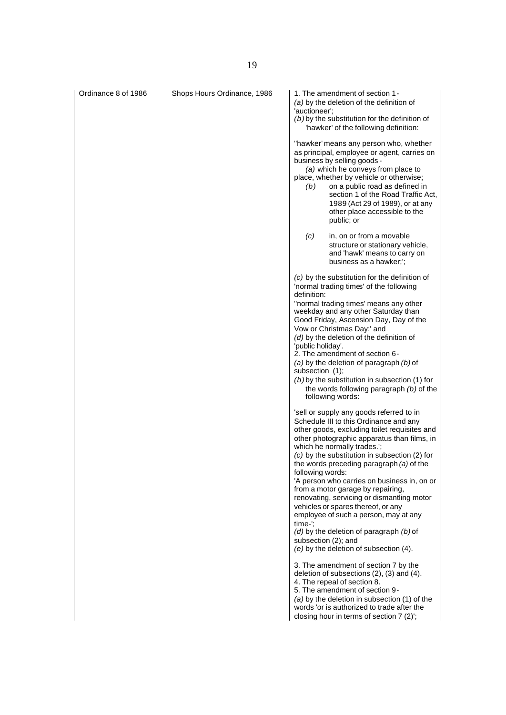| Ordinance 8 of 1986 | Shops Hours Ordinance, 1986 | 1. The amendment of section 1-<br>(a) by the deletion of the definition of<br>'auctioneer':<br>$(b)$ by the substitution for the definition of<br>'hawker' of the following definition:<br>"hawker' means any person who, whether<br>as principal, employee or agent, carries on<br>business by selling goods -<br>(a) which he conveys from place to<br>place, whether by vehicle or otherwise;<br>on a public road as defined in<br>(b)<br>section 1 of the Road Traffic Act,<br>1989 (Act 29 of 1989), or at any<br>other place accessible to the                                                                                                                                                                                                                                                                                                                                                                                                                          |
|---------------------|-----------------------------|-------------------------------------------------------------------------------------------------------------------------------------------------------------------------------------------------------------------------------------------------------------------------------------------------------------------------------------------------------------------------------------------------------------------------------------------------------------------------------------------------------------------------------------------------------------------------------------------------------------------------------------------------------------------------------------------------------------------------------------------------------------------------------------------------------------------------------------------------------------------------------------------------------------------------------------------------------------------------------|
|                     |                             | public; or<br>in, on or from a movable<br>(c)<br>structure or stationary vehicle,<br>and 'hawk' means to carry on<br>business as a hawker;';                                                                                                                                                                                                                                                                                                                                                                                                                                                                                                                                                                                                                                                                                                                                                                                                                                  |
|                     |                             | (c) by the substitution for the definition of<br>'normal trading times' of the following<br>definition:<br>"normal trading times' means any other<br>weekday and any other Saturday than<br>Good Friday, Ascension Day, Day of the<br>Vow or Christmas Day;' and<br>(d) by the deletion of the definition of<br>'public holiday'.<br>2. The amendment of section 6-<br>(a) by the deletion of paragraph $(b)$ of<br>subsection (1);<br>$(b)$ by the substitution in subsection (1) for<br>the words following paragraph (b) of the<br>following words:                                                                                                                                                                                                                                                                                                                                                                                                                        |
|                     |                             | 'sell or supply any goods referred to in<br>Schedule III to this Ordinance and any<br>other goods, excluding toilet requisites and<br>other photographic apparatus than films, in<br>which he normally trades.';<br>(c) by the substitution in subsection (2) for<br>the words preceding paragraph (a) of the<br>following words:<br>'A person who carries on business in, on or<br>from a motor garage by repairing,<br>renovating, servicing or dismantling motor<br>vehicles or spares thereof, or any<br>employee of such a person, may at any<br>time-":<br>$(d)$ by the deletion of paragraph $(b)$ of<br>subsection (2); and<br>(e) by the deletion of subsection (4).<br>3. The amendment of section 7 by the<br>deletion of subsections (2), (3) and (4).<br>4. The repeal of section 8.<br>5. The amendment of section 9-<br>(a) by the deletion in subsection (1) of the<br>words 'or is authorized to trade after the<br>closing hour in terms of section 7 (2)'; |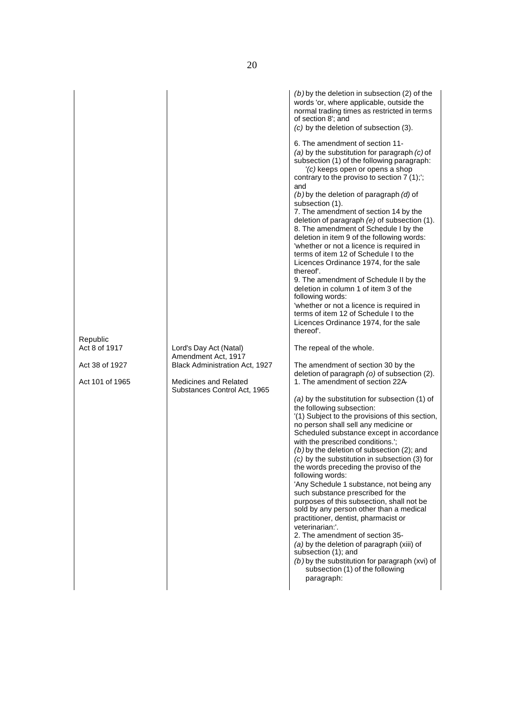| Republic<br>Act 8 of 1917<br>Lord's Day Act (Natal)<br>Amendment Act, 1917<br>Black Administration Act, 1927<br>Act 38 of 1927<br>Act 101 of 1965<br><b>Medicines and Related</b><br>Substances Control Act, 1965 | $(b)$ by the deletion in subsection (2) of the<br>words 'or, where applicable, outside the<br>normal trading times as restricted in terms<br>of section 8'; and<br>(c) by the deletion of subsection (3).<br>6. The amendment of section 11-<br>(a) by the substitution for paragraph $(c)$ of<br>subsection (1) of the following paragraph:<br>$\sqrt{(c)}$ keeps open or opens a shop<br>contrary to the proviso to section $7(1)$ ;<br>and<br>$(b)$ by the deletion of paragraph $(d)$ of<br>subsection (1).<br>7. The amendment of section 14 by the<br>deletion of paragraph $(e)$ of subsection $(1)$ .<br>8. The amendment of Schedule I by the<br>deletion in item 9 of the following words:<br>'whether or not a licence is required in<br>terms of item 12 of Schedule I to the<br>Licences Ordinance 1974, for the sale<br>thereof'.<br>9. The amendment of Schedule II by the<br>deletion in column 1 of item 3 of the<br>following words:<br>'whether or not a licence is required in<br>terms of item 12 of Schedule I to the<br>Licences Ordinance 1974, for the sale<br>thereof'.<br>The repeal of the whole.<br>The amendment of section 30 by the<br>deletion of paragraph (o) of subsection (2).<br>1. The amendment of section 22A<br>(a) by the substitution for subsection (1) of<br>the following subsection:<br>(1) Subject to the provisions of this section,<br>no person shall sell any medicine or<br>Scheduled substance except in accordance<br>with the prescribed conditions.';<br>$(b)$ by the deletion of subsection (2); and<br>(c) by the substitution in subsection (3) for<br>the words preceding the proviso of the<br>following words:<br>'Any Schedule 1 substance, not being any<br>such substance prescribed for the<br>purposes of this subsection, shall not be<br>sold by any person other than a medical<br>practitioner, dentist, pharmacist or<br>veterinarian:'.<br>2. The amendment of section 35-<br>(a) by the deletion of paragraph (xiii) of<br>subsection (1); and<br>$(b)$ by the substitution for paragraph (xvi) of<br>subsection (1) of the following |
|-------------------------------------------------------------------------------------------------------------------------------------------------------------------------------------------------------------------|-------------------------------------------------------------------------------------------------------------------------------------------------------------------------------------------------------------------------------------------------------------------------------------------------------------------------------------------------------------------------------------------------------------------------------------------------------------------------------------------------------------------------------------------------------------------------------------------------------------------------------------------------------------------------------------------------------------------------------------------------------------------------------------------------------------------------------------------------------------------------------------------------------------------------------------------------------------------------------------------------------------------------------------------------------------------------------------------------------------------------------------------------------------------------------------------------------------------------------------------------------------------------------------------------------------------------------------------------------------------------------------------------------------------------------------------------------------------------------------------------------------------------------------------------------------------------------------------------------------------------------------------------------------------------------------------------------------------------------------------------------------------------------------------------------------------------------------------------------------------------------------------------------------------------------------------------------------------------------------------------------------------------------------------------------------------------------------------------------------------|
|-------------------------------------------------------------------------------------------------------------------------------------------------------------------------------------------------------------------|-------------------------------------------------------------------------------------------------------------------------------------------------------------------------------------------------------------------------------------------------------------------------------------------------------------------------------------------------------------------------------------------------------------------------------------------------------------------------------------------------------------------------------------------------------------------------------------------------------------------------------------------------------------------------------------------------------------------------------------------------------------------------------------------------------------------------------------------------------------------------------------------------------------------------------------------------------------------------------------------------------------------------------------------------------------------------------------------------------------------------------------------------------------------------------------------------------------------------------------------------------------------------------------------------------------------------------------------------------------------------------------------------------------------------------------------------------------------------------------------------------------------------------------------------------------------------------------------------------------------------------------------------------------------------------------------------------------------------------------------------------------------------------------------------------------------------------------------------------------------------------------------------------------------------------------------------------------------------------------------------------------------------------------------------------------------------------------------------------------------|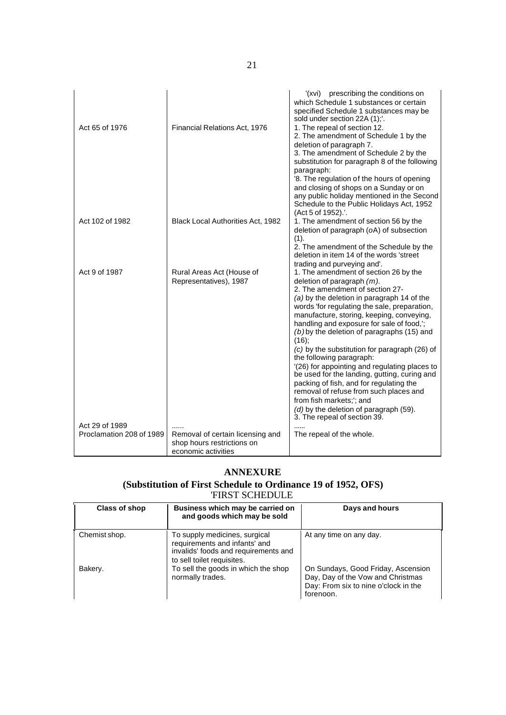| Act 65 of 1976                             | Financial Relations Act, 1976                                                         | (xvi) prescribing the conditions on<br>which Schedule 1 substances or certain<br>specified Schedule 1 substances may be<br>sold under section 22A (1);'.<br>1. The repeal of section 12.<br>2. The amendment of Schedule 1 by the<br>deletion of paragraph 7.<br>3. The amendment of Schedule 2 by the<br>substitution for paragraph 8 of the following<br>paragraph:<br>'8. The regulation of the hours of opening<br>and closing of shops on a Sunday or on<br>any public holiday mentioned in the Second<br>Schedule to the Public Holidays Act, 1952<br>(Act 5 of 1952).'.                                                                                                                                                                                     |
|--------------------------------------------|---------------------------------------------------------------------------------------|--------------------------------------------------------------------------------------------------------------------------------------------------------------------------------------------------------------------------------------------------------------------------------------------------------------------------------------------------------------------------------------------------------------------------------------------------------------------------------------------------------------------------------------------------------------------------------------------------------------------------------------------------------------------------------------------------------------------------------------------------------------------|
| Act 102 of 1982                            | Black Local Authorities Act, 1982                                                     | 1. The amendment of section 56 by the<br>deletion of paragraph (oA) of subsection<br>(1).<br>2. The amendment of the Schedule by the<br>deletion in item 14 of the words 'street                                                                                                                                                                                                                                                                                                                                                                                                                                                                                                                                                                                   |
| Act 9 of 1987                              | Rural Areas Act (House of<br>Representatives), 1987                                   | trading and purveying and'.<br>1. The amendment of section 26 by the<br>deletion of paragraph $(m)$ .<br>2. The amendment of section 27-<br>(a) by the deletion in paragraph 14 of the<br>words 'for regulating the sale, preparation,<br>manufacture, storing, keeping, conveying,<br>handling and exposure for sale of food,";<br>$(b)$ by the deletion of paragraphs (15) and<br>(16);<br>(c) by the substitution for paragraph (26) of<br>the following paragraph:<br>'(26) for appointing and regulating places to<br>be used for the landing, gutting, curing and<br>packing of fish, and for regulating the<br>removal of refuse from such places and<br>from fish markets;'; and<br>(d) by the deletion of paragraph (59).<br>3. The repeal of section 39. |
| Act 29 of 1989<br>Proclamation 208 of 1989 | Removal of certain licensing and<br>shop hours restrictions on<br>economic activities | The repeal of the whole.                                                                                                                                                                                                                                                                                                                                                                                                                                                                                                                                                                                                                                                                                                                                           |

# **ANNEXURE**

# **(Substitution of First Schedule to Ordinance 19 of 1952, OFS)**

| <b>FIRST SCHEDULE</b> |                                                                                                                                      |                                                                                                                              |
|-----------------------|--------------------------------------------------------------------------------------------------------------------------------------|------------------------------------------------------------------------------------------------------------------------------|
| Class of shop         | Business which may be carried on<br>and goods which may be sold                                                                      | Days and hours                                                                                                               |
| Chemist shop.         | To supply medicines, surgical<br>requirements and infants' and<br>invalids' foods and requirements and<br>to sell toilet requisites. | At any time on any day.                                                                                                      |
| Bakery.               | To sell the goods in which the shop<br>normally trades.                                                                              | On Sundays, Good Friday, Ascension<br>Day, Day of the Vow and Christmas<br>Day: From six to nine o'clock in the<br>forenoon. |